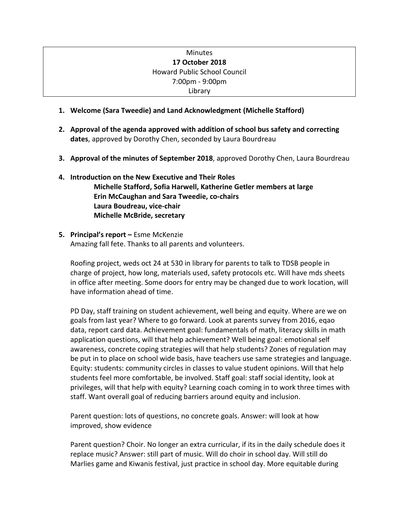# Minutes **17 October 2018** Howard Public School Council 7:00pm - 9:00pm Library

- **1. Welcome (Sara Tweedie) and Land Acknowledgment (Michelle Stafford)**
- **2. Approval of the agenda approved with addition of school bus safety and correcting dates**, approved by Dorothy Chen, seconded by Laura Bourdreau
- **3. Approval of the minutes of September 2018**, approved Dorothy Chen, Laura Bourdreau

# **4. Introduction on the New Executive and Their Roles Michelle Stafford, Sofia Harwell, Katherine Getler members at large Erin McCaughan and Sara Tweedie, co-chairs Laura Boudreau, vice-chair Michelle McBride, secretary**

### **5. Principal's report –** Esme McKenzie Amazing fall fete. Thanks to all parents and volunteers.

Roofing project, weds oct 24 at 530 in library for parents to talk to TDSB people in charge of project, how long, materials used, safety protocols etc. Will have mds sheets in office after meeting. Some doors for entry may be changed due to work location, will have information ahead of time.

PD Day, staff training on student achievement, well being and equity. Where are we on goals from last year? Where to go forward. Look at parents survey from 2016, eqao data, report card data. Achievement goal: fundamentals of math, literacy skills in math application questions, will that help achievement? Well being goal: emotional self awareness, concrete coping strategies will that help students? Zones of regulation may be put in to place on school wide basis, have teachers use same strategies and language. Equity: students: community circles in classes to value student opinions. Will that help students feel more comfortable, be involved. Staff goal: staff social identity, look at privileges, will that help with equity? Learning coach coming in to work three times with staff. Want overall goal of reducing barriers around equity and inclusion.

Parent question: lots of questions, no concrete goals. Answer: will look at how improved, show evidence

Parent question? Choir. No longer an extra curricular, if its in the daily schedule does it replace music? Answer: still part of music. Will do choir in school day. Will still do Marlies game and Kiwanis festival, just practice in school day. More equitable during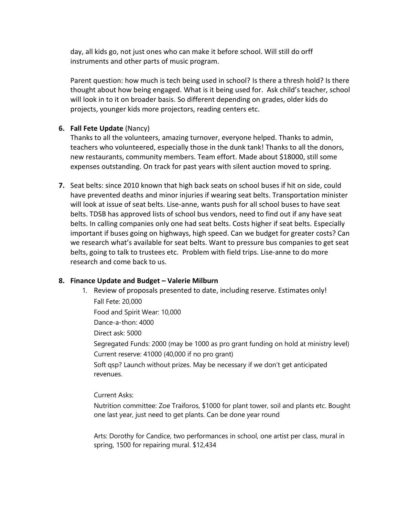day, all kids go, not just ones who can make it before school. Will still do orff instruments and other parts of music program.

Parent question: how much is tech being used in school? Is there a thresh hold? Is there thought about how being engaged. What is it being used for. Ask child's teacher, school will look in to it on broader basis. So different depending on grades, older kids do projects, younger kids more projectors, reading centers etc.

## **6. Fall Fete Update** (Nancy)

Thanks to all the volunteers, amazing turnover, everyone helped. Thanks to admin, teachers who volunteered, especially those in the dunk tank! Thanks to all the donors, new restaurants, community members. Team effort. Made about \$18000, still some expenses outstanding. On track for past years with silent auction moved to spring.

**7.** Seat belts: since 2010 known that high back seats on school buses if hit on side, could have prevented deaths and minor injuries if wearing seat belts. Transportation minister will look at issue of seat belts. Lise-anne, wants push for all school buses to have seat belts. TDSB has approved lists of school bus vendors, need to find out if any have seat belts. In calling companies only one had seat belts. Costs higher if seat belts. Especially important if buses going on highways, high speed. Can we budget for greater costs? Can we research what's available for seat belts. Want to pressure bus companies to get seat belts, going to talk to trustees etc. Problem with field trips. Lise-anne to do more research and come back to us.

### **8. Finance Update and Budget – Valerie Milburn**

1. Review of proposals presented to date, including reserve. Estimates only!

Fall Fete: 20,000 Food and Spirit Wear: 10,000 Dance-a-thon: 4000 Direct ask: 5000 Segregated Funds: 2000 (may be 1000 as pro grant funding on hold at ministry level) Current reserve: 41000 (40,000 if no pro grant) Soft qsp? Launch without prizes. May be necessary if we don't get anticipated revenues.

Current Asks:

Nutrition committee: Zoe Traiforos, \$1000 for plant tower, soil and plants etc. Bought one last year, just need to get plants. Can be done year round

Arts: Dorothy for Candice, two performances in school, one artist per class, mural in spring, 1500 for repairing mural. \$12,434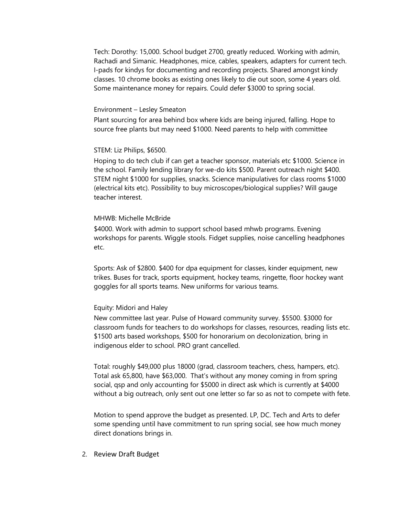Tech: Dorothy: 15,000. School budget 2700, greatly reduced. Working with admin, Rachadi and Simanic. Headphones, mice, cables, speakers, adapters for current tech. I-pads for kindys for documenting and recording projects. Shared amongst kindy classes. 10 chrome books as existing ones likely to die out soon, some 4 years old. Some maintenance money for repairs. Could defer \$3000 to spring social.

#### Environment – Lesley Smeaton

Plant sourcing for area behind box where kids are being injured, falling. Hope to source free plants but may need \$1000. Need parents to help with committee

#### STEM: Liz Philips, \$6500.

Hoping to do tech club if can get a teacher sponsor, materials etc \$1000. Science in the school. Family lending library for we-do kits \$500. Parent outreach night \$400. STEM night \$1000 for supplies, snacks. Science manipulatives for class rooms \$1000 (electrical kits etc). Possibility to buy microscopes/biological supplies? Will gauge teacher interest.

#### MHWB: Michelle McBride

\$4000. Work with admin to support school based mhwb programs. Evening workshops for parents. Wiggle stools. Fidget supplies, noise cancelling headphones etc.

Sports: Ask of \$2800. \$400 for dpa equipment for classes, kinder equipment, new trikes. Buses for track, sports equipment, hockey teams, ringette, floor hockey want goggles for all sports teams. New uniforms for various teams.

#### Equity: Midori and Haley

New committee last year. Pulse of Howard community survey. \$5500. \$3000 for classroom funds for teachers to do workshops for classes, resources, reading lists etc. \$1500 arts based workshops, \$500 for honorarium on decolonization, bring in indigenous elder to school. PRO grant cancelled.

Total: roughly \$49,000 plus 18000 (grad, classroom teachers, chess, hampers, etc). Total ask 65,800, have \$63,000. That's without any money coming in from spring social, qsp and only accounting for \$5000 in direct ask which is currently at \$4000 without a big outreach, only sent out one letter so far so as not to compete with fete.

Motion to spend approve the budget as presented. LP, DC. Tech and Arts to defer some spending until have commitment to run spring social, see how much money direct donations brings in.

#### 2. Review Draft Budget